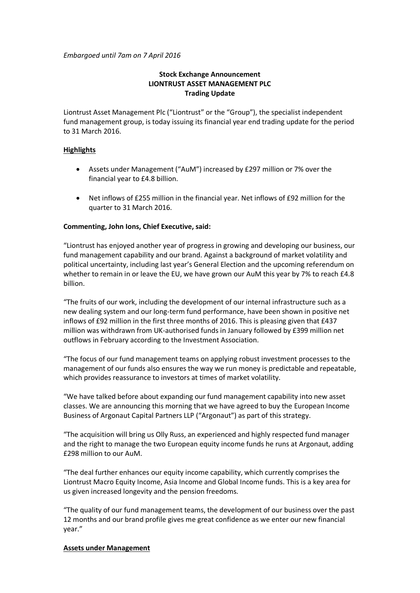*Embargoed until 7am on 7 April 2016*

# **Stock Exchange Announcement LIONTRUST ASSET MANAGEMENT PLC Trading Update**

Liontrust Asset Management Plc ("Liontrust" or the "Group"), the specialist independent fund management group, is today issuing its financial year end trading update for the period to 31 March 2016.

# **Highlights**

- Assets under Management ("AuM") increased by £297 million or 7% over the financial year to £4.8 billion.
- Net inflows of £255 million in the financial year. Net inflows of £92 million for the quarter to 31 March 2016.

# **Commenting, John Ions, Chief Executive, said:**

"Liontrust has enjoyed another year of progress in growing and developing our business, our fund management capability and our brand. Against a background of market volatility and political uncertainty, including last year's General Election and the upcoming referendum on whether to remain in or leave the EU, we have grown our AuM this year by 7% to reach £4.8 billion.

"The fruits of our work, including the development of our internal infrastructure such as a new dealing system and our long-term fund performance, have been shown in positive net inflows of £92 million in the first three months of 2016. This is pleasing given that £437 million was withdrawn from UK-authorised funds in January followed by £399 million net outflows in February according to the Investment Association.

"The focus of our fund management teams on applying robust investment processes to the management of our funds also ensures the way we run money is predictable and repeatable, which provides reassurance to investors at times of market volatility.

"We have talked before about expanding our fund management capability into new asset classes. We are announcing this morning that we have agreed to buy the European Income Business of Argonaut Capital Partners LLP ("Argonaut") as part of this strategy.

"The acquisition will bring us Olly Russ, an experienced and highly respected fund manager and the right to manage the two European equity income funds he runs at Argonaut, adding £298 million to our AuM.

"The deal further enhances our equity income capability, which currently comprises the Liontrust Macro Equity Income, Asia Income and Global Income funds. This is a key area for us given increased longevity and the pension freedoms.

"The quality of our fund management teams, the development of our business over the past 12 months and our brand profile gives me great confidence as we enter our new financial year."

## **Assets under Management**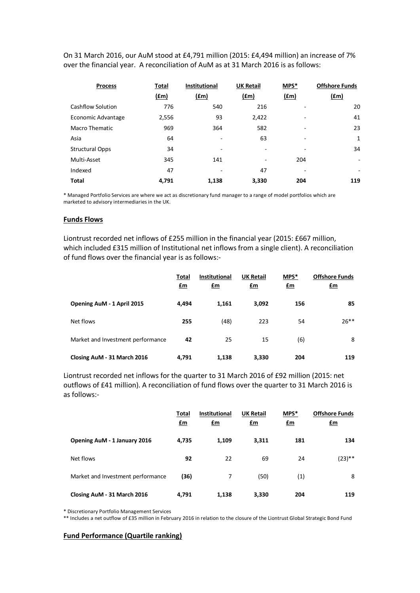On 31 March 2016, our AuM stood at £4,791 million (2015: £4,494 million) an increase of 7% over the financial year. A reconciliation of AuM as at 31 March 2016 is as follows:

| <b>Process</b>         | Total       | <b>Institutional</b> | <b>UK Retail</b> | MPS*          | <b>Offshore Funds</b>    |
|------------------------|-------------|----------------------|------------------|---------------|--------------------------|
|                        | <u>(£m)</u> | (fm)                 | (fm)             | $(\text{fm})$ | (f.m)                    |
| Cashflow Solution      | 776         | 540                  | 216              | -             | 20                       |
| Economic Advantage     | 2,556       | 93                   | 2,422            | -             | 41                       |
| Macro Thematic         | 969         | 364                  | 582              |               | 23                       |
| Asia                   | 64          | ۰                    | 63               | ۰             | $\mathbf{1}$             |
| <b>Structural Opps</b> | 34          |                      | ۰                |               | 34                       |
| Multi-Asset            | 345         | 141                  | ۰                | 204           | $\overline{\phantom{a}}$ |
| Indexed                | 47          |                      | 47               |               | ۰                        |
| <b>Total</b>           | 4.791       | 1,138                | 3,330            | 204           | 119                      |

\* Managed Portfolio Services are where we act as discretionary fund manager to a range of model portfolios which are marketed to advisory intermediaries in the UK.

#### **Funds Flows**

Liontrust recorded net inflows of £255 million in the financial year (2015: £667 million, which included £315 million of Institutional net inflows from a single client). A reconciliation of fund flows over the financial year is as follows:-

|                                   | Total<br><u>£m</u> | <b>Institutional</b><br><u>£m</u> | <b>UK Retail</b><br><u>£m</u> | MPS*<br><u>£m</u> | <b>Offshore Funds</b><br>$\mathbf{f}$ m |
|-----------------------------------|--------------------|-----------------------------------|-------------------------------|-------------------|-----------------------------------------|
| Opening AuM - 1 April 2015        | 4,494              | 1,161                             | 3,092                         | 156               | 85                                      |
| Net flows                         | 255                | (48)                              | 223                           | 54                | $26***$                                 |
| Market and Investment performance | 42                 | 25                                | 15                            | (6)               | 8                                       |
| Closing AuM - 31 March 2016       | 4.791              | 1,138                             | 3,330                         | 204               | 119                                     |

Liontrust recorded net inflows for the quarter to 31 March 2016 of £92 million (2015: net outflows of £41 million). A reconciliation of fund flows over the quarter to 31 March 2016 is as follows:-

|                                   | Total<br>$f_{\text{m}}$ | <b>Institutional</b><br>$\mathbf{f}$ m | <b>UK Retail</b><br><u>£m</u> | MPS*<br><u>£m</u> | <b>Offshore Funds</b><br><u>£m</u> |
|-----------------------------------|-------------------------|----------------------------------------|-------------------------------|-------------------|------------------------------------|
| Opening AuM - 1 January 2016      | 4,735                   | 1,109                                  | 3,311                         | 181               | 134                                |
| Net flows                         | 92                      | 22                                     | 69                            | 24                | $(23)$ **                          |
| Market and Investment performance | (36)                    | 7                                      | (50)                          | (1)               | 8                                  |
| Closing AuM - 31 March 2016       | 4,791                   | 1,138                                  | 3,330                         | 204               | 119                                |

\* Discretionary Portfolio Management Services

\*\* Includes a net outflow of £35 million in February 2016 in relation to the closure of the Liontrust Global Strategic Bond Fund

# **Fund Performance (Quartile ranking)**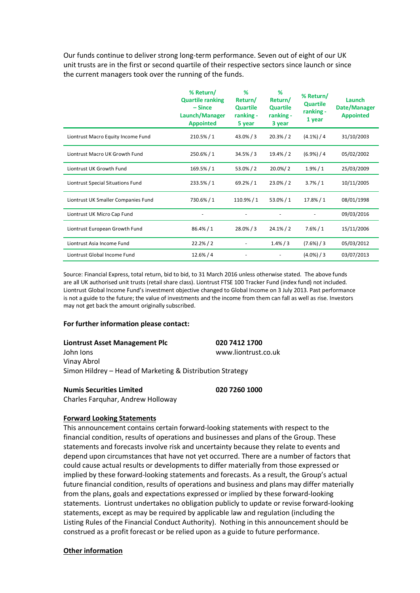Our funds continue to deliver strong long-term performance. Seven out of eight of our UK unit trusts are in the first or second quartile of their respective sectors since launch or since the current managers took over the running of the funds.

|                                     | % Return/<br><b>Quartile ranking</b><br>$-$ Since<br>Launch/Manager<br><b>Appointed</b> | %<br>Return/<br><b>Quartile</b><br>ranking -<br>5 year | %<br>Return/<br><b>Quartile</b><br>ranking -<br>3 year | % Return/<br><b>Quartile</b><br>ranking -<br>1 year | <b>Launch</b><br>Date/Manager<br><b>Appointed</b> |
|-------------------------------------|-----------------------------------------------------------------------------------------|--------------------------------------------------------|--------------------------------------------------------|-----------------------------------------------------|---------------------------------------------------|
| Liontrust Macro Equity Income Fund  | 210.5% / 1                                                                              | $43.0\% / 3$                                           | $20.3\% / 2$                                           | $(4.1\%) / 4$                                       | 31/10/2003                                        |
| Liontrust Macro UK Growth Fund      | $250.6\% / 1$                                                                           | $34.5\% / 3$                                           | 19.4%/2                                                | $(6.9\%) / 4$                                       | 05/02/2002                                        |
| Liontrust UK Growth Fund            | 169.5%/1                                                                                | $53.0\% / 2$                                           | $20.0\%/2$                                             | $1.9\% / 1$                                         | 25/03/2009                                        |
| Liontrust Special Situations Fund   | 233.5%/1                                                                                | 69.2% / 1                                              | $23.0\% / 2$                                           | $3.7\% / 1$                                         | 10/11/2005                                        |
| Liontrust UK Smaller Companies Fund | 730.6%/1                                                                                | 110.9%/1                                               | $53.0\% / 1$                                           | 17.8%/1                                             | 08/01/1998                                        |
| Liontrust UK Micro Cap Fund         |                                                                                         |                                                        |                                                        |                                                     | 09/03/2016                                        |
| Liontrust European Growth Fund      | 86.4% / 1                                                                               | $28.0\% / 3$                                           | $24.1\% / 2$                                           | $7.6\% / 1$                                         | 15/11/2006                                        |
| Liontrust Asia Income Fund          | 22.2% / 2                                                                               |                                                        | $1.4\% / 3$                                            | (7.6%) / 3                                          | 05/03/2012                                        |
| Liontrust Global Income Fund        | $12.6\% / 4$                                                                            |                                                        |                                                        | $(4.0\%) / 3$                                       | 03/07/2013                                        |

Source: Financial Express, total return, bid to bid, to 31 March 2016 unless otherwise stated. The above funds are all UK authorised unit trusts (retail share class). Liontrust FTSE 100 Tracker Fund (index fund) not included. Liontrust Global Income Fund's investment objective changed to Global Income on 3 July 2013. Past performance is not a guide to the future; the value of investments and the income from them can fall as well as rise. Investors may not get back the amount originally subscribed.

## **For further information please contact:**

| <b>Liontrust Asset Management Plc</b>                     | 020 7412 1700       |
|-----------------------------------------------------------|---------------------|
| John Jons                                                 | www.liontrust.co.uk |
| Vinay Abrol                                               |                     |
| Simon Hildrey - Head of Marketing & Distribution Strategy |                     |

#### **Numis Securities Limited 020 7260 1000**

Charles Farquhar, Andrew Holloway

**Forward Looking Statements**

This announcement contains certain forward-looking statements with respect to the financial condition, results of operations and businesses and plans of the Group. These statements and forecasts involve risk and uncertainty because they relate to events and depend upon circumstances that have not yet occurred. There are a number of factors that could cause actual results or developments to differ materially from those expressed or implied by these forward-looking statements and forecasts. As a result, the Group's actual future financial condition, results of operations and business and plans may differ materially from the plans, goals and expectations expressed or implied by these forward-looking statements. Liontrust undertakes no obligation publicly to update or revise forward-looking statements, except as may be required by applicable law and regulation (including the Listing Rules of the Financial Conduct Authority). Nothing in this announcement should be construed as a profit forecast or be relied upon as a guide to future performance.

## **Other information**